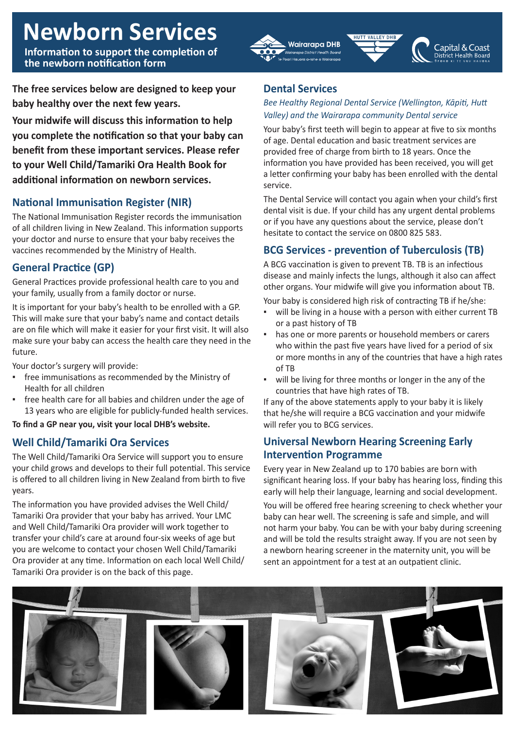# **Newborn Services**

**Information to support the completion of the newborn notification form**

**The free services below are designed to keep your baby healthy over the next few years.**

**Your midwife will discuss this information to help you complete the notification so that your baby can benefit from these important services. Please refer to your Well Child/Tamariki Ora Health Book for additional information on newborn services.**

# **National Immunisation Register (NIR)**

The National Immunisation Register records the immunisation of all children living in New Zealand. This information supports your doctor and nurse to ensure that your baby receives the vaccines recommended by the Ministry of Health.

# **General Practice (GP)**

General Practices provide professional health care to you and your family, usually from a family doctor or nurse.

It is important for your baby's health to be enrolled with a GP. This will make sure that your baby's name and contact details are on file which will make it easier for your first visit. It will also make sure your baby can access the health care they need in the future.

Your doctor's surgery will provide:

- free immunisations as recommended by the Ministry of Health for all children
- free health care for all babies and children under the age of 13 years who are eligible for publicly-funded health services.

**To find a GP near you, visit your local DHB's website.**

# **Well Child/Tamariki Ora Services**

The Well Child/Tamariki Ora Service will support you to ensure your child grows and develops to their full potential. This service is offered to all children living in New Zealand from birth to five years.

The information you have provided advises the Well Child/ Tamariki Ora provider that your baby has arrived. Your LMC and Well Child/Tamariki Ora provider will work together to transfer your child's care at around four-six weeks of age but you are welcome to contact your chosen Well Child/Tamariki Ora provider at any time. Information on each local Well Child/ Tamariki Ora provider is on the back of this page.

## **Dental Services**

Wairarapa DHB

ana District Health Boar

### *Bee Healthy Regional Dental Service (Wellington, Kāpiti, Hutt Valley) and the Wairarapa community Dental service*

HIITT VALLEY DHR

Capital & Coast

District Health Board

Your baby's first teeth will begin to appear at five to six months of age. Dental education and basic treatment services are provided free of charge from birth to 18 years. Once the information you have provided has been received, you will get a letter confirming your baby has been enrolled with the dental service.

The Dental Service will contact you again when your child's first dental visit is due. If your child has any urgent dental problems or if you have any questions about the service, please don't hesitate to contact the service on 0800 825 583.

# **BCG Services - prevention of Tuberculosis (TB)**

A BCG vaccination is given to prevent TB. TB is an infectious disease and mainly infects the lungs, although it also can affect other organs. Your midwife will give you information about TB.

Your baby is considered high risk of contracting TB if he/she:

- will be living in a house with a person with either current TB or a past history of TB
- has one or more parents or household members or carers who within the past five years have lived for a period of six or more months in any of the countries that have a high rates of TB
- will be living for three months or longer in the any of the countries that have high rates of TB.

If any of the above statements apply to your baby it is likely that he/she will require a BCG vaccination and your midwife will refer you to BCG services.

## **Universal Newborn Hearing Screening Early Intervention Programme**

Every year in New Zealand up to 170 babies are born with significant hearing loss. If your baby has hearing loss, finding this early will help their language, learning and social development.

You will be offered free hearing screening to check whether your baby can hear well. The screening is safe and simple, and will not harm your baby. You can be with your baby during screening and will be told the results straight away. If you are not seen by a newborn hearing screener in the maternity unit, you will be sent an appointment for a test at an outpatient clinic.